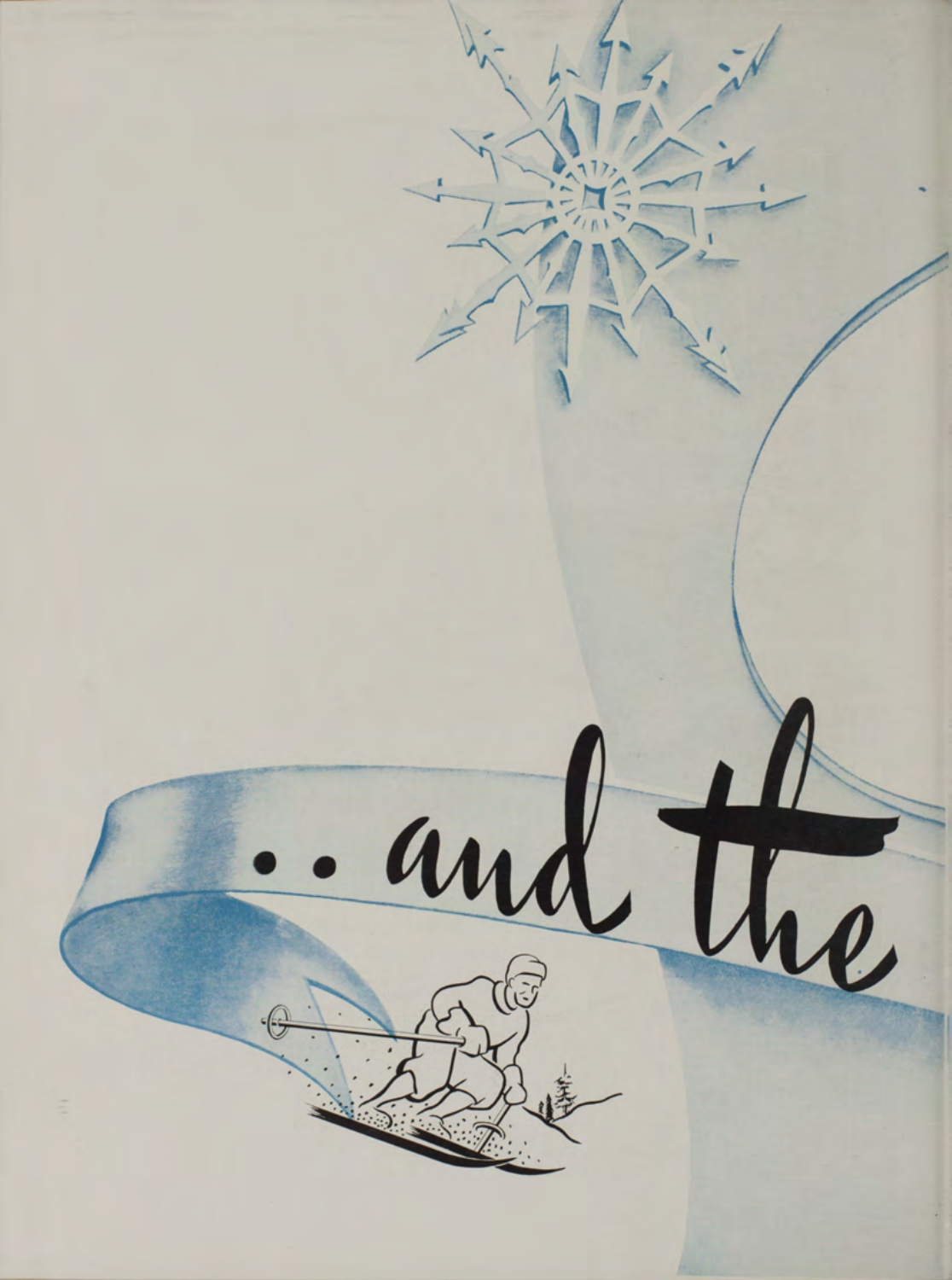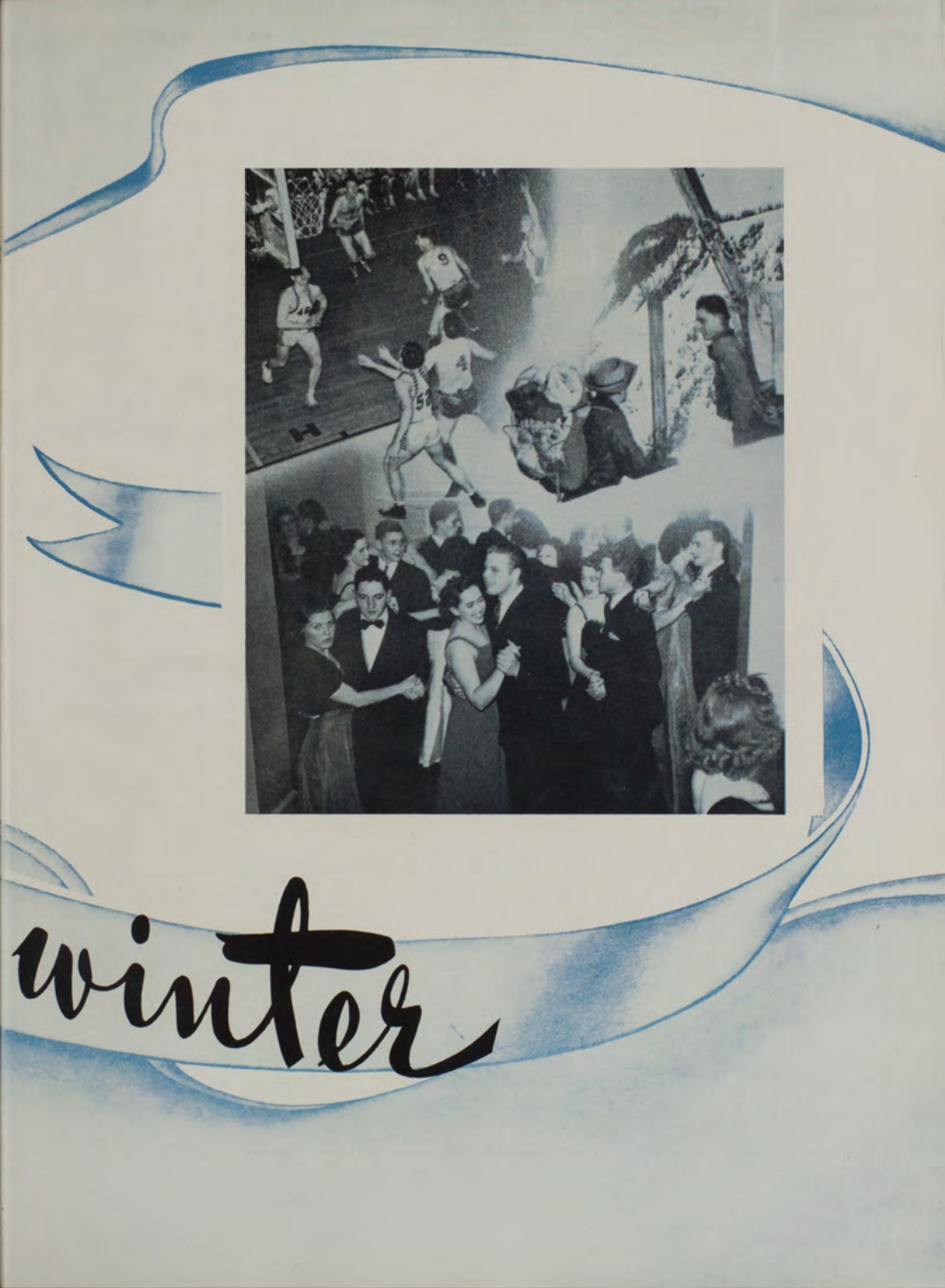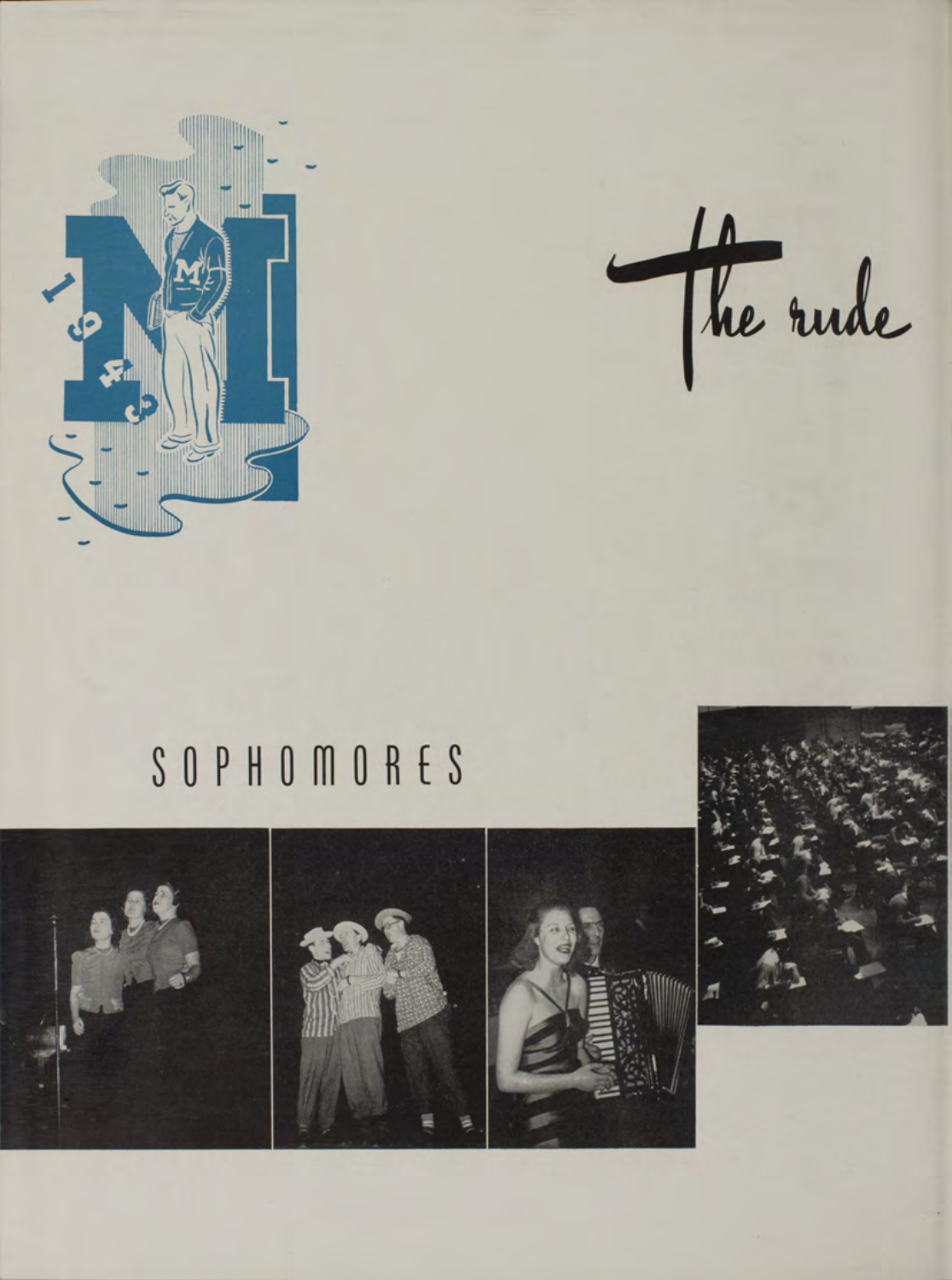

the rude

## SOPHOMORES



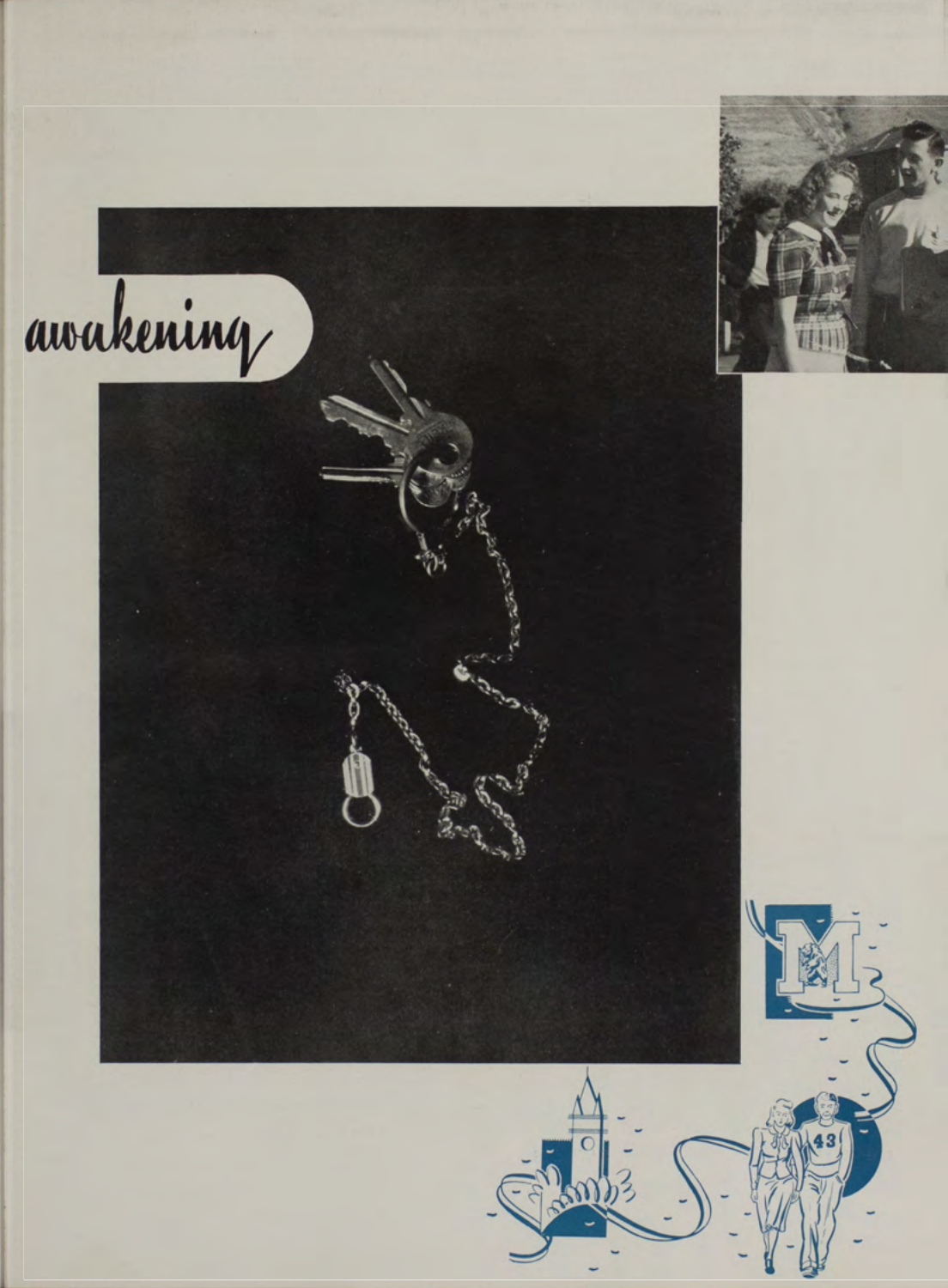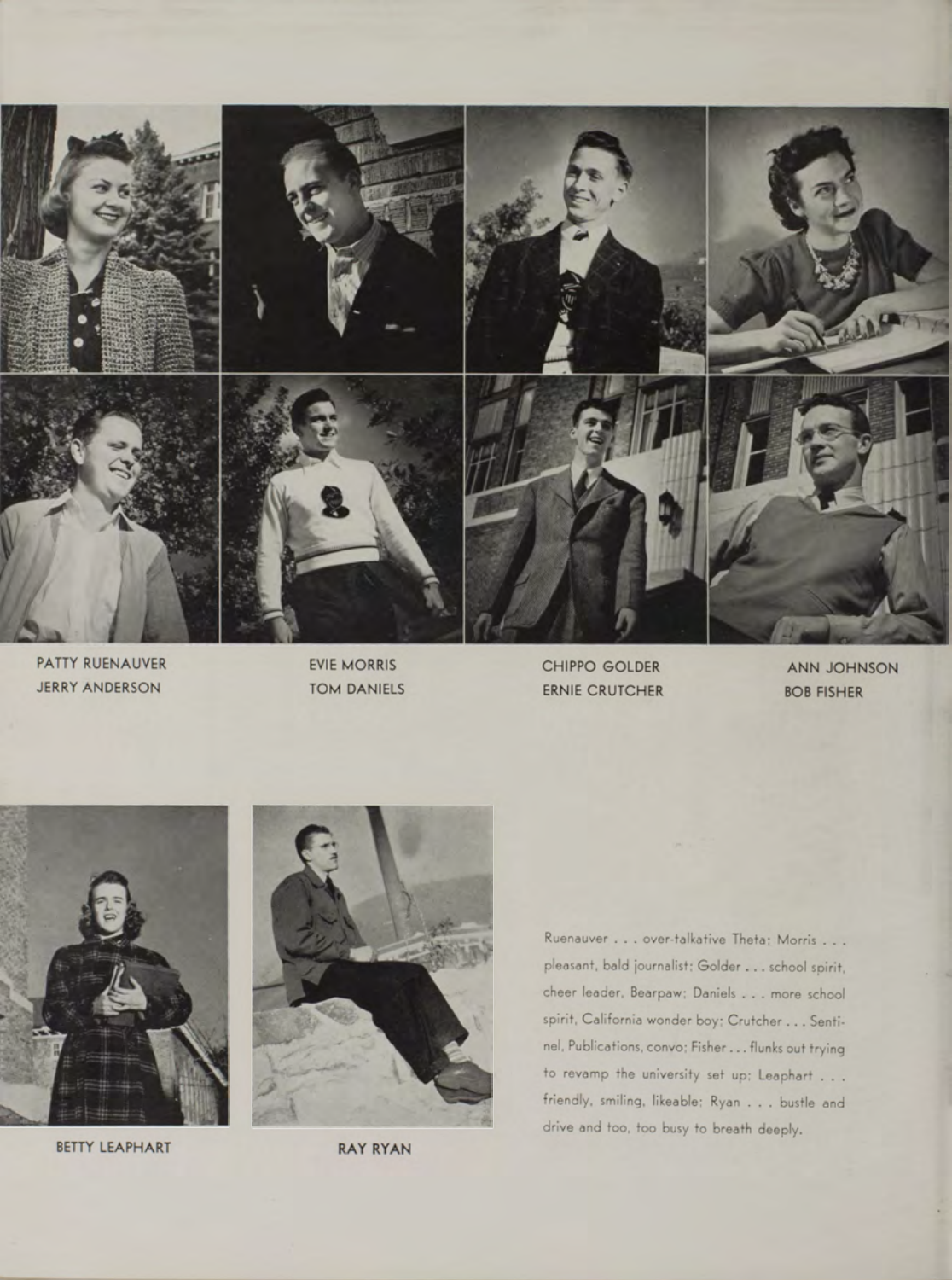

PATTY RUENAUVER
EVIE MORRIS JERRY ANDERSON TOM DANIELS





BETTY LEAPHART RAY RYAN



Ruenauver . . . over-talkative Theta; Morris . . . pleasant, bald journalist; Golder . . . school spirit, cheer leader, Bearpaw; Daniels . . . more school spirit, California wonder boy; Crutcher . . . Sentinel, Publications, convo; Fisher . . . flunks out trying to revamp the university set up; Leaphart  $\dots$ friendly, smiling, likeable; Ryan . . . bustle and drive and too, too busy to breath deeply.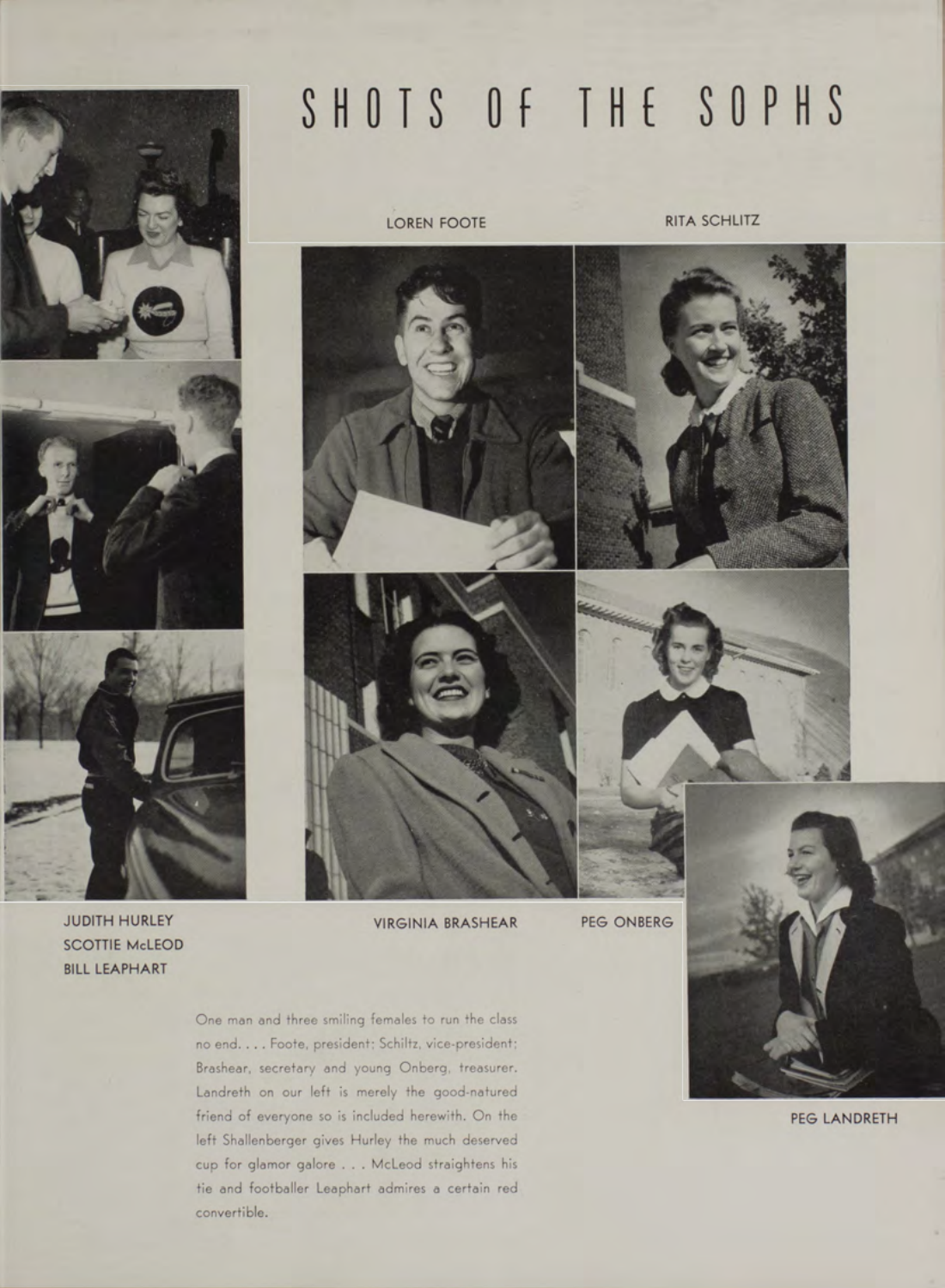

SCOTTIE McLEOD BILL LEAPHART

JUDITH HURLEY VIRGINIA BRASHEAR

PEG ONBERG

One man and three smiling females to run the class no end. . . . Foote, president; Schiltz, vice-president; Brashear, secretary and young Onberg, treasurer. Landreth on our left is merely the good-natured friend of everyone so is included herewith. On the left Shallenberger gives Hurley the much deserved cup for glamor galore . . . McLeod straightens his tie and footballer Leaphart admires a certain red convertible.

LOREN FOOTE RITA SCHLITZ

SHOTS OF THE SOPHS







PEG LANDRETH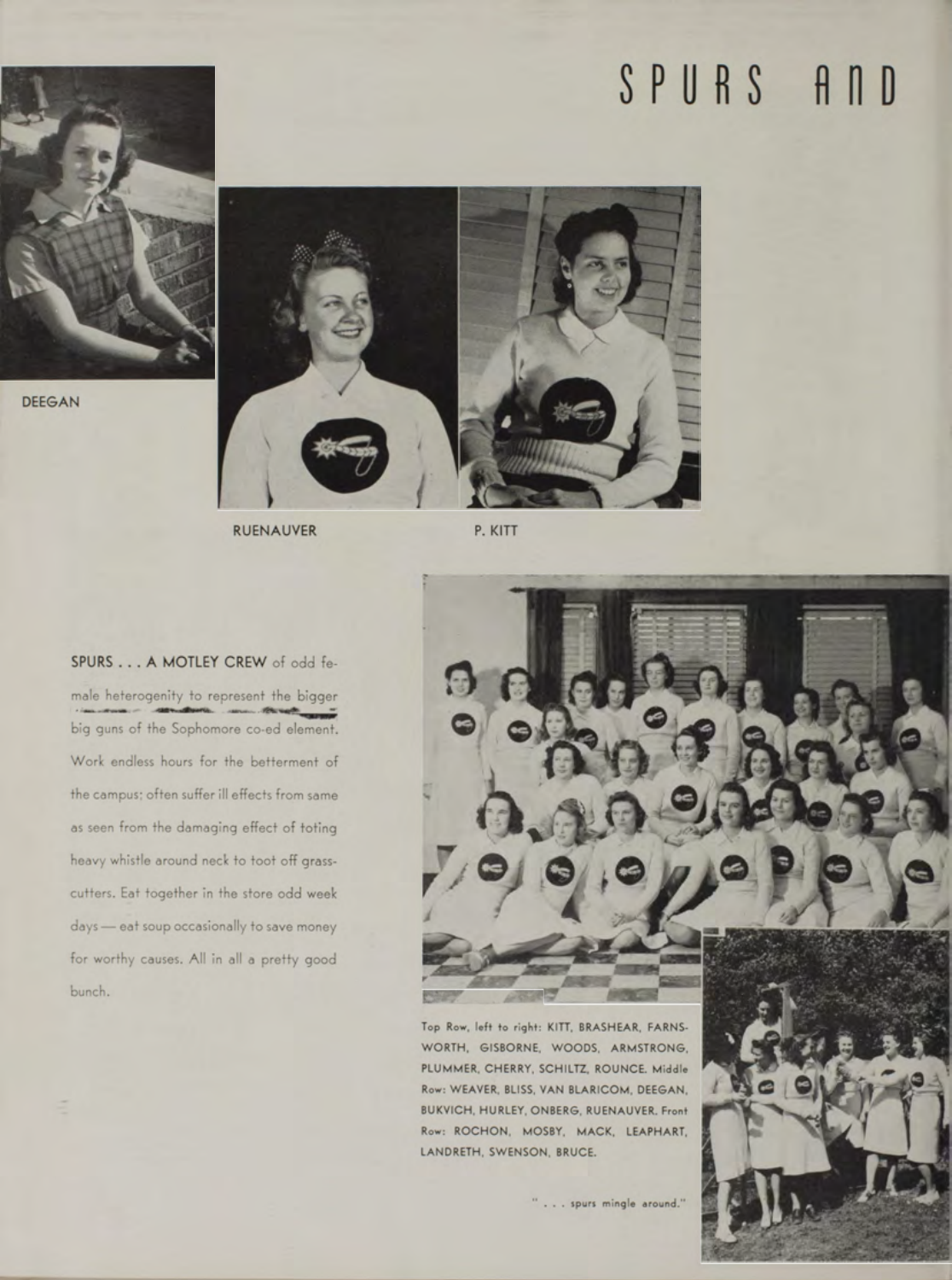## SPURS AND



**D E E G A N**



**RUENAUVER** 

P. KITT

**SPURS . . . A MOTLEY CREW** of odd female heterogenity to represent the bigger big guns of the Sophomore co-ed element. Work endless hours for the betterment of the campus; often suffer ill effects from same as seen from the damaging effect of toting heavy whistle around neck to toot off grasscutters. Eat together in the store odd week days — eat soup occasionally to save money for worthy causes. All in all a pretty good bunch. **mma** and  $\mathbb{R}$  and  $\mathbb{R}$  and  $\mathbb{R}$  and  $\mathbb{R}$  and  $\mathbb{R}$  and  $\mathbb{R}$  and  $\mathbb{R}$  and  $\mathbb{R}$  and  $\mathbb{R}$  and  $\mathbb{R}$  and  $\mathbb{R}$  and  $\mathbb{R}$  and  $\mathbb{R}$  and  $\mathbb{R}$  and  $\mathbb{R}$  and  $\mathbb{R}$  a



Top Row, left to right: KITT, BRASHEAR, FARNS-WORTH, GISBORNE, WOODS, ARMSTRONG, PLUMMER, CHERRY, SCHILTZ, ROUNCE. Middle Row: WEAVER, BLISS, VAN BLARICOM, DEEGAN, BUKVICH, HURLEY, ONBERG, RUENAUVER. Front Row: ROCHON, MOSBY, MACK, LEAPHART, LANDRETH, SWENSON, BRUCE.